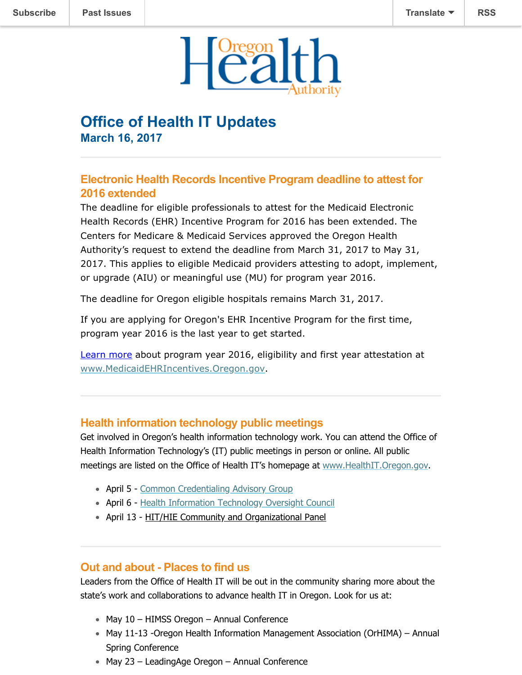

# **Office of Health IT Updates March 16, 2017**

## **Electronic Health Records Incentive Program deadline to attest for 2016 extended**

The deadline for eligible professionals to attest for the Medicaid Electronic Health Records (EHR) Incentive Program for 2016 has been extended. The Centers for Medicare & Medicaid Services approved the Oregon Health Authority's request to extend the deadline from March 31, 2017 to May 31, 2017. This applies to eligible Medicaid providers attesting to adopt, implement, or upgrade (AIU) or meaningful use (MU) for program year 2016.

The deadline for Oregon eligible hospitals remains March 31, 2017.

If you are applying for Oregon's EHR Incentive Program for the first time, program year 2016 is the last year to get started.

[Learn more](http://www.oregon.gov/oha/MHIT/Pages/Program%20Year-2016.aspx) about program year 2016, eligibility and first year attestation at [www.MedicaidEHRIncentives.Oregon.gov](http://www.medicaidehrincentives.oregon.gov/).

### **Health information technology public meetings**

Get involved in Oregon's health information technology work. You can attend the Office of Health Information Technology's (IT) public meetings in person or online. All public meetings are listed on the Office of Health IT's homepage at [www.HealthIT.Oregon.gov](http://www.healthit.oregon.gov/).

- April 5 - [Common Credentialing Advisory Group](http://www.oregon.gov/oha/OHIT/occp/Pages/CCAG.aspx)
- April 6 - [Health Information Technology Oversight Council](http://www.oregon.gov/oha/OHPR/HITOC/Pages/Meeting_Materials.aspx)
- April 13 - [HIT/HIE Community and Organizational Panel](http://www.oregon.gov/oha/OHPR/HITOC/Pages/Meeting_Materials.aspx)

#### **Out and about - Places to find us**

Leaders from the Office of Health IT will be out in the community sharing more about the state's work and collaborations to advance health IT in Oregon. Look for us at:

- May 10 HIMSS Oregon Annual Conference
- May 11-13 -Oregon Health Information Management Association (OrHIMA) Annual Spring Conference
- May 23 LeadingAge Oregon Annual Conference